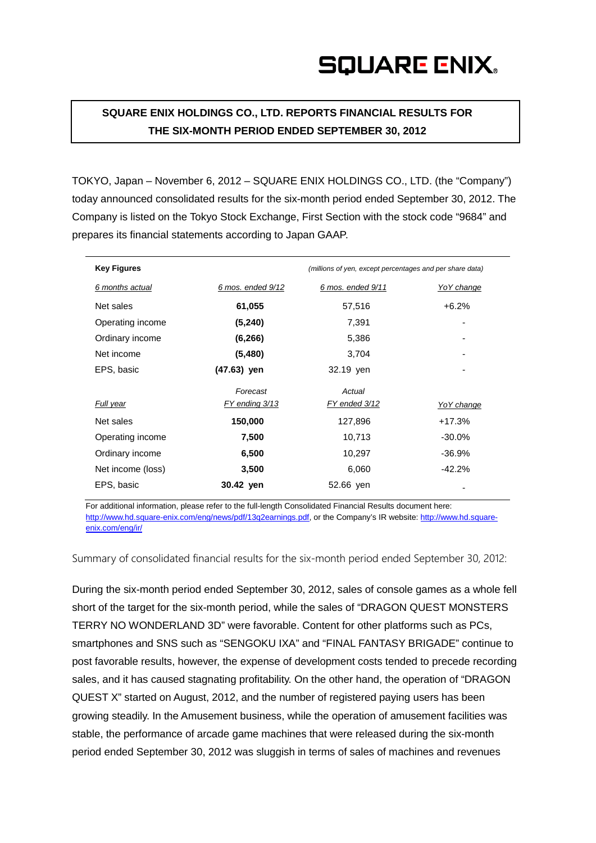**SQUARE ENIX HOLDINGS CO., LTD. REPORTS FINANCIAL RESULTS FOR THE SIX-MONTH PERIOD ENDED SEPTEMBER 30, 2012**

TOKYO, Japan – November 6, 2012 – SQUARE ENIX HOLDINGS CO., LTD. (the "Company") today announced consolidated results for the six-month period ended September 30, 2012. The Company is listed on the Tokyo Stock Exchange, First Section with the stock code "9684" and prepares its financial statements according to Japan GAAP.

| <b>Key Figures</b> |                   | (millions of yen, except percentages and per share data) |                   |
|--------------------|-------------------|----------------------------------------------------------|-------------------|
| 6 months actual    | 6 mos. ended 9/12 | 6 mos. ended 9/11                                        | Yo Y change       |
| Net sales          | 61,055            | 57,516                                                   | $+6.2%$           |
| Operating income   | (5, 240)          | 7,391                                                    | ۰                 |
| Ordinary income    | (6, 266)          | 5,386                                                    |                   |
| Net income         | (5,480)           | 3,704                                                    | ۰                 |
| EPS, basic         | (47.63) yen       | 32.19 yen                                                |                   |
|                    | Forecast          | Actual                                                   |                   |
| Full year          | FY ending 3/13    | FY ended 3/12                                            | <u>YoY change</u> |
| Net sales          | 150,000           | 127,896                                                  | $+17.3%$          |
| Operating income   | 7,500             | 10,713                                                   | $-30.0\%$         |
| Ordinary income    | 6,500             | 10,297                                                   | $-36.9%$          |
| Net income (loss)  | 3,500             | 6,060                                                    | $-42.2%$          |
| EPS, basic         | 30.42 yen         | 52.66 yen                                                |                   |

For additional information, please refer to the full-length Consolidated Financial Results document here: http://www.hd.square-enix.com/eng/news/pdf/13q2earnings.pdf, or the Company's IR website: [http://www.hd.square](http://www.hd.square-enix.com/eng/ir/)[enix.com/eng/ir/](http://www.hd.square-enix.com/eng/ir/)

Summary of consolidated financial results for the six-month period ended September 30, 2012:

During the six-month period ended September 30, 2012, sales of console games as a whole fell short of the target for the six-month period, while the sales of "DRAGON QUEST MONSTERS TERRY NO WONDERLAND 3D" were favorable. Content for other platforms such as PCs, smartphones and SNS such as "SENGOKU IXA" and "FINAL FANTASY BRIGADE" continue to post favorable results, however, the expense of development costs tended to precede recording sales, and it has caused stagnating profitability. On the other hand, the operation of "DRAGON QUEST X" started on August, 2012, and the number of registered paying users has been growing steadily. In the Amusement business, while the operation of amusement facilities was stable, the performance of arcade game machines that were released during the six-month period ended September 30, 2012 was sluggish in terms of sales of machines and revenues